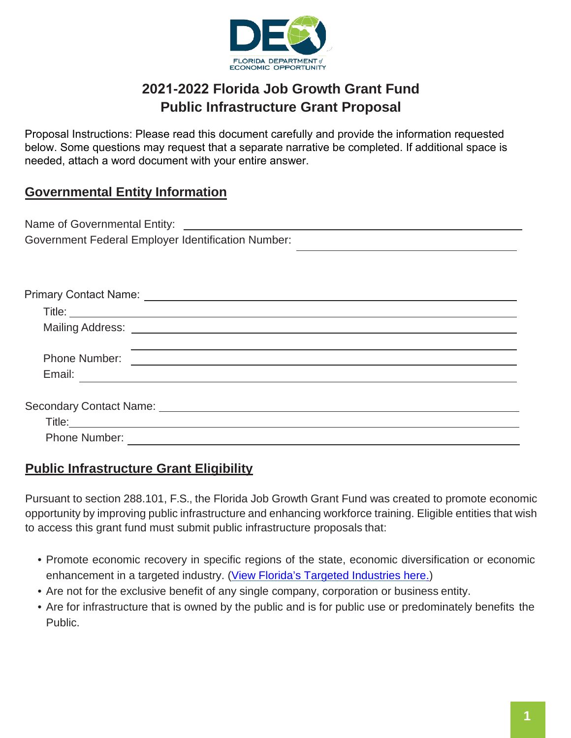

# **2021-2022 Florida Job Growth Grant Fund Public Infrastructure Grant Proposal**

Proposal Instructions: Please read this document carefully and provide the information requested below. Some questions may request that a separate narrative be completed. If additional space is needed, attach a word document with your entire answer.

### **Governmental Entity Information**

| Name of Governmental Entity:                              |  |
|-----------------------------------------------------------|--|
| <b>Government Federal Employer Identification Number:</b> |  |

| Phone Number:        | <u> Andreas Andreas Andreas Andreas Andreas Andreas Andreas Andreas Andreas Andreas Andreas Andreas Andreas Andreas Andreas Andreas Andreas Andreas Andreas Andreas Andreas Andreas Andreas Andreas Andreas Andreas Andreas Andr</u> |
|----------------------|--------------------------------------------------------------------------------------------------------------------------------------------------------------------------------------------------------------------------------------|
| Email: Email:        |                                                                                                                                                                                                                                      |
|                      |                                                                                                                                                                                                                                      |
|                      |                                                                                                                                                                                                                                      |
|                      |                                                                                                                                                                                                                                      |
| <b>Phone Number:</b> |                                                                                                                                                                                                                                      |

#### **Public Infrastructure Grant Eligibility**

Pursuant to section 288.101, F.S., the Florida Job Growth Grant Fund was created to promote economic opportunity by improving public infrastructure and enhancing workforce training. Eligible entities that wish to access this grant fund must submit public infrastructure proposals that:

- Promote economic recovery in specific regions of the state, economic diversification or economic enhancement in a targeted industry. [\(View Florida's Targeted Industries here.\)](https://www.enterpriseflorida.com/industries/)
- Are not for the exclusive benefit of any single company, corporation or business entity.
- Are for infrastructure that is owned by the public and is for public use or predominately benefits the Public.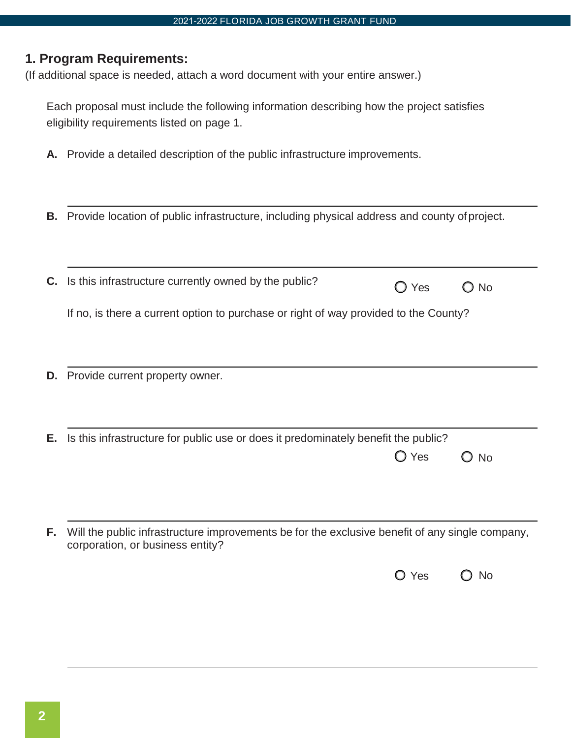#### **1. Program Requirements:**

(If additional space is needed, attach a word document with your entire answer.)

Each proposal must include the following information describing how the project satisfies eligibility requirements listed on page 1.

- **A.** Provide a detailed description of the public infrastructure improvements.
- **B.** Provide location of public infrastructure, including physical address and county of project.

|     | C. Is this infrastructure currently owned by the public?                                                                            | Yes            | ⊃ No |
|-----|-------------------------------------------------------------------------------------------------------------------------------------|----------------|------|
|     | If no, is there a current option to purchase or right of way provided to the County?                                                |                |      |
|     |                                                                                                                                     |                |      |
| D.  | Provide current property owner.                                                                                                     |                |      |
|     |                                                                                                                                     |                |      |
| Е.  | Is this infrastructure for public use or does it predominately benefit the public?                                                  |                |      |
|     |                                                                                                                                     | $\bigcirc$ Yes | ) No |
|     |                                                                                                                                     |                |      |
|     |                                                                                                                                     |                |      |
| Е., | Will the public infrastructure improvements be for the exclusive benefit of any single company,<br>corporation, or business entity? |                |      |

| $O$ Yes |  | $\bigcirc$ No |
|---------|--|---------------|
|---------|--|---------------|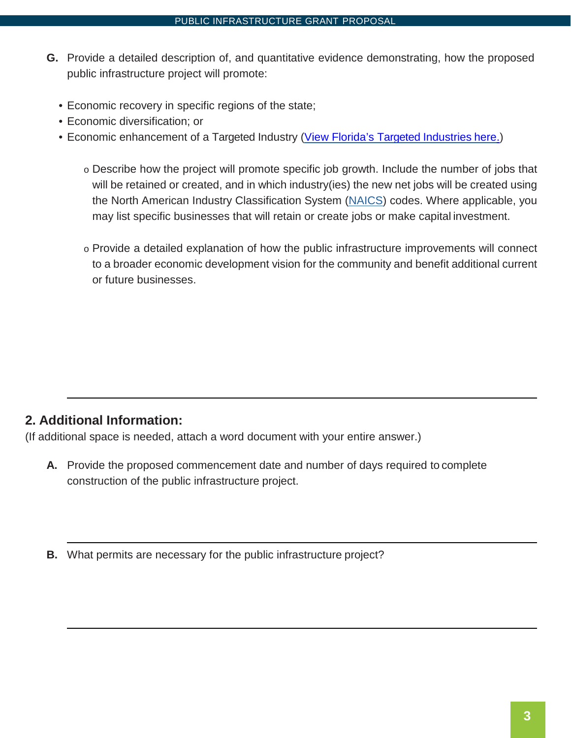- **G.** Provide a detailed description of, and quantitative evidence demonstrating, how the proposed public infrastructure project will promote:
	- Economic recovery in specific regions of the state;
	- Economic diversification; or
	- Economic enhancement of a Targeted Industry [\(View Florida's Targeted Industries](https://www.enterpriseflorida.com/industries/) here.)
		- o Describe how the project will promote specific job growth. Include the number of jobs that will be retained or created, and in which industry(ies) the new net jobs will be created using the North American Industry Classification System [\(NAICS\)](https://www.census.gov/naics/) codes. Where applicable, you may list specific businesses that will retain or create jobs or make capital investment.
		- o Provide a detailed explanation of how the public infrastructure improvements will connect to a broader economic development vision for the community and benefit additional current or future businesses.

#### **2. Additional Information:**

(If additional space is needed, attach a word document with your entire answer.)

- **A.** Provide the proposed commencement date and number of days required to complete construction of the public infrastructure project.
- **B.** What permits are necessary for the public infrastructure project?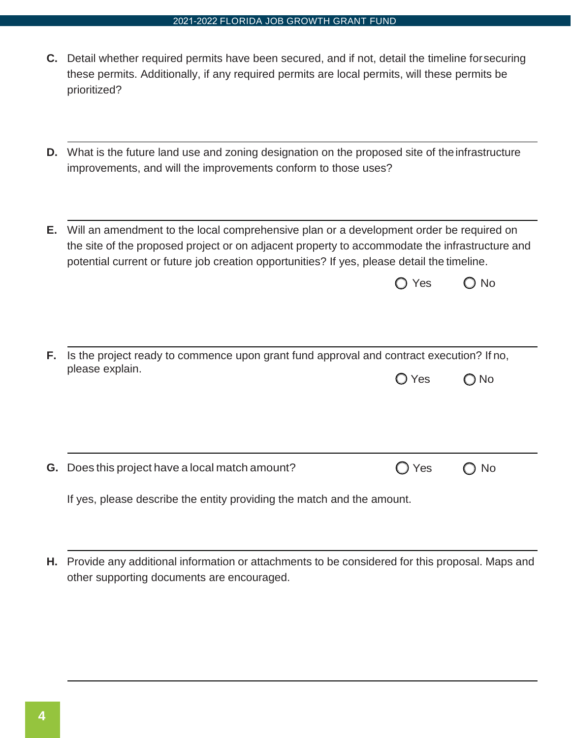#### 2021-2022 FLORIDA JOB GROWTH GRANT FUND

- **C.** Detail whether required permits have been secured, and if not, detail the timeline forsecuring these permits. Additionally, if any required permits are local permits, will these permits be prioritized?
- **D.** What is the future land use and zoning designation on the proposed site of the infrastructure improvements, and will the improvements conform to those uses?
- **E.** Will an amendment to the local comprehensive plan or a development order be required on the site of the proposed project or on adjacent property to accommodate the infrastructure and potential current or future job creation opportunities? If yes, please detail the timeline.

| $\bigcirc$ Yes |  | $\bigcirc$ No |
|----------------|--|---------------|
|----------------|--|---------------|

| <b>F.</b> Is the project ready to commence upon grant fund approval and contract execution? If no, |                |  |  |
|----------------------------------------------------------------------------------------------------|----------------|--|--|
| please explain.                                                                                    | $O$ Yes $O$ No |  |  |
|                                                                                                    |                |  |  |

**G.** Does this project have a local match amount?  $\bigcap$  Yes  $\bigcap$  No

If yes, please describe the entity providing the match and the amount.

**H.** Provide any additional information or attachments to be considered for this proposal. Maps and other supporting documents are encouraged.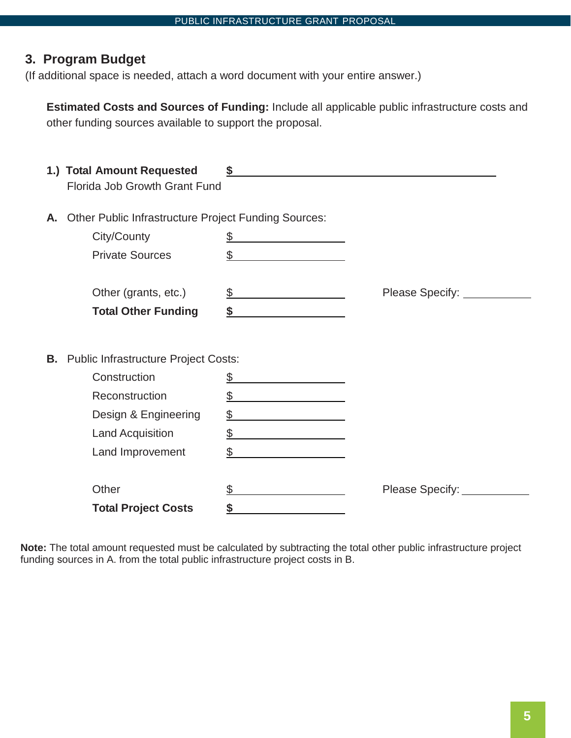# **3. Program Budget**

(If additional space is needed, attach a word document with your entire answer.)

**Estimated Costs and Sources of Funding:** Include all applicable public infrastructure costs and other funding sources available to support the proposal.

|    | 1.) Total Amount Requested<br>Florida Job Growth Grant Fund |                                                                                                                            |                            |
|----|-------------------------------------------------------------|----------------------------------------------------------------------------------------------------------------------------|----------------------------|
| А. | <b>Other Public Infrastructure Project Funding Sources:</b> |                                                                                                                            |                            |
|    | City/County                                                 | \$                                                                                                                         |                            |
|    | <b>Private Sources</b>                                      | \$<br><u> 1989 - Jan Barbara Barat, prima popular popular popular popular popular popular popular popular popular popu</u> |                            |
|    | Other (grants, etc.)                                        | \$                                                                                                                         |                            |
|    | <b>Total Other Funding</b>                                  | \$                                                                                                                         |                            |
| В. | <b>Public Infrastructure Project Costs:</b>                 |                                                                                                                            |                            |
|    | Construction                                                | \$                                                                                                                         |                            |
|    | Reconstruction                                              | \$                                                                                                                         |                            |
|    | Design & Engineering                                        |                                                                                                                            |                            |
|    | <b>Land Acquisition</b>                                     | \$                                                                                                                         |                            |
|    | Land Improvement                                            | \$                                                                                                                         |                            |
|    | Other                                                       |                                                                                                                            | Please Specify: __________ |
|    | <b>Total Project Costs</b>                                  |                                                                                                                            |                            |

**Note:** The total amount requested must be calculated by subtracting the total other public infrastructure project funding sources in A. from the total public infrastructure project costs in B.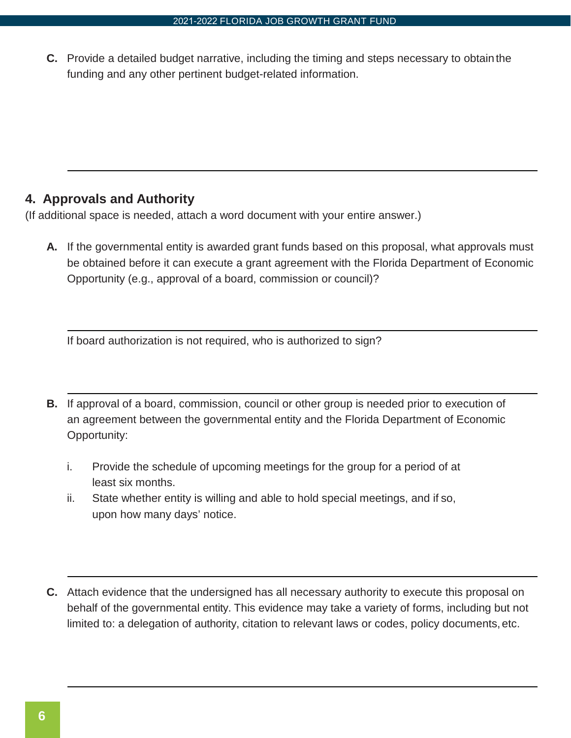**C.** Provide a detailed budget narrative, including the timing and steps necessary to obtainthe funding and any other pertinent budget-related information.

## **4. Approvals and Authority**

(If additional space is needed, attach a word document with your entire answer.)

**A.** If the governmental entity is awarded grant funds based on this proposal, what approvals must be obtained before it can execute a grant agreement with the Florida Department of Economic Opportunity (e.g., approval of a board, commission or council)?

If board authorization is not required, who is authorized to sign?

- **B.** If approval of a board, commission, council or other group is needed prior to execution of an agreement between the governmental entity and the Florida Department of Economic Opportunity:
	- i. Provide the schedule of upcoming meetings for the group for a period of at least six months.
	- ii. State whether entity is willing and able to hold special meetings, and if so, upon how many days' notice.
- **C.** Attach evidence that the undersigned has all necessary authority to execute this proposal on behalf of the governmental entity. This evidence may take a variety of forms, including but not limited to: a delegation of authority, citation to relevant laws or codes, policy documents, etc.